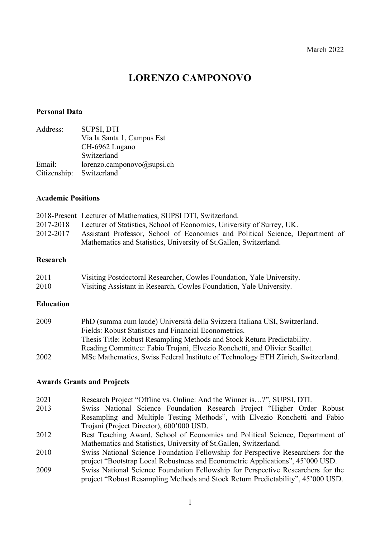# **LORENZO CAMPONOVO**

# **Personal Data**

| <b>SUPSI, DTI</b>              |
|--------------------------------|
| Via la Santa 1, Campus Est     |
| CH-6962 Lugano                 |
| Switzerland                    |
| lorenzo.camponovo $@$ supsi.ch |
| Citizenship: Switzerland       |
|                                |

#### **Academic Positions**

|           | 2018-Present Lecturer of Mathematics, SUPSI DTI, Switzerland.                 |
|-----------|-------------------------------------------------------------------------------|
| 2017-2018 | Lecturer of Statistics, School of Economics, University of Surrey, UK.        |
| 2012-2017 | Assistant Professor, School of Economics and Political Science, Department of |
|           | Mathematics and Statistics, University of St. Gallen, Switzerland.            |

#### **Research**

| 2011 | Visiting Postdoctoral Researcher, Cowles Foundation, Yale University. |
|------|-----------------------------------------------------------------------|
| 2010 | Visiting Assistant in Research, Cowles Foundation, Yale University.   |

#### **Education**

| 2009 | PhD (summa cum laude) Università della Svizzera Italiana USI, Switzerland.      |
|------|---------------------------------------------------------------------------------|
|      | Fields: Robust Statistics and Financial Econometrics.                           |
|      | Thesis Title: Robust Resampling Methods and Stock Return Predictability.        |
|      | Reading Committee: Fabio Trojani, Elvezio Ronchetti, and Olivier Scaillet.      |
| 2002 | MSc Mathematics, Swiss Federal Institute of Technology ETH Zürich, Switzerland. |

# **Awards Grants and Projects**

- 2021 Research Project "Offline vs. Online: And the Winner is…?", SUPSI, DTI.
- 2013 Swiss National Science Foundation Research Project "Higher Order Robust Resampling and Multiple Testing Methods", with Elvezio Ronchetti and Fabio Trojani (Project Director), 600'000 USD.
- 2012 Best Teaching Award, School of Economics and Political Science, Department of Mathematics and Statistics, University of St.Gallen, Switzerland.
- 2010 Swiss National Science Foundation Fellowship for Perspective Researchers for the project "Bootstrap Local Robustness and Econometric Applications", 45'000 USD.
- 2009 Swiss National Science Foundation Fellowship for Perspective Researchers for the project "Robust Resampling Methods and Stock Return Predictability", 45'000 USD.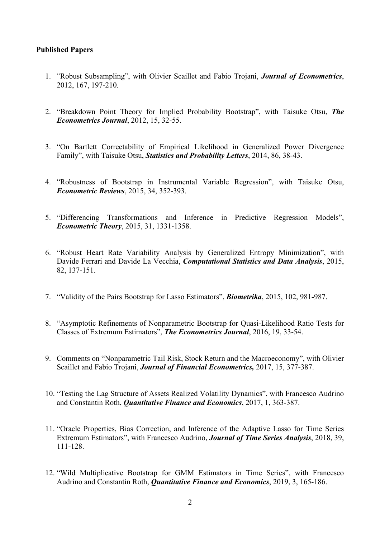# **Published Papers**

- 1. "Robust Subsampling", with Olivier Scaillet and Fabio Trojani, *Journal of Econometrics*, 2012, 167, 197-210.
- 2. "Breakdown Point Theory for Implied Probability Bootstrap", with Taisuke Otsu, *The Econometrics Journal*, 2012, 15, 32-55.
- 3. "On Bartlett Correctability of Empirical Likelihood in Generalized Power Divergence Family", with Taisuke Otsu, *Statistics and Probability Letters*, 2014, 86, 38-43.
- 4. "Robustness of Bootstrap in Instrumental Variable Regression", with Taisuke Otsu, *Econometric Reviews*, 2015, 34, 352-393.
- 5. "Differencing Transformations and Inference in Predictive Regression Models", *Econometric Theory*, 2015, 31, 1331-1358.
- 6. "Robust Heart Rate Variability Analysis by Generalized Entropy Minimization", with Davide Ferrari and Davide La Vecchia, *Computational Statistics and Data Analysis*, 2015, 82, 137-151.
- 7. "Validity of the Pairs Bootstrap for Lasso Estimators", *Biometrika*, 2015, 102, 981-987.
- 8. "Asymptotic Refinements of Nonparametric Bootstrap for Quasi-Likelihood Ratio Tests for Classes of Extremum Estimators", *The Econometrics Journal*, 2016, 19, 33-54.
- 9. Comments on "Nonparametric Tail Risk, Stock Return and the Macroeconomy", with Olivier Scaillet and Fabio Trojani, *Journal of Financial Econometrics,* 2017, 15, 377-387.
- 10. "Testing the Lag Structure of Assets Realized Volatility Dynamics", with Francesco Audrino and Constantin Roth, *Quantitative Finance and Economics*, 2017, 1, 363-387.
- 11. "Oracle Properties, Bias Correction, and Inference of the Adaptive Lasso for Time Series Extremum Estimators", with Francesco Audrino, *Journal of Time Series Analysis*, 2018, 39, 111-128.
- 12. "Wild Multiplicative Bootstrap for GMM Estimators in Time Series", with Francesco Audrino and Constantin Roth, *Quantitative Finance and Economics*, 2019, 3, 165-186.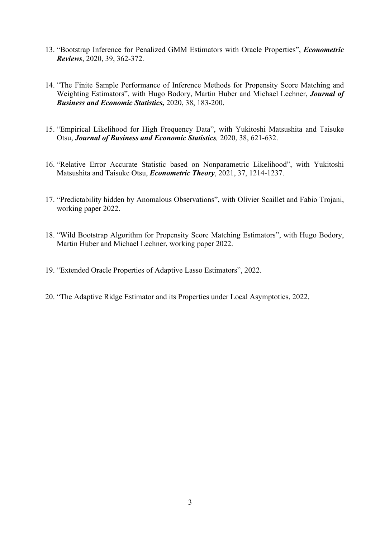- 13. "Bootstrap Inference for Penalized GMM Estimators with Oracle Properties", *Econometric Reviews*, 2020, 39, 362-372.
- 14. "The Finite Sample Performance of Inference Methods for Propensity Score Matching and Weighting Estimators", with Hugo Bodory, Martin Huber and Michael Lechner, *Journal of Business and Economic Statistics,* 2020, 38, 183-200.
- 15. "Empirical Likelihood for High Frequency Data", with Yukitoshi Matsushita and Taisuke Otsu, *Journal of Business and Economic Statistics,* 2020, 38, 621-632.
- 16. "Relative Error Accurate Statistic based on Nonparametric Likelihood", with Yukitoshi Matsushita and Taisuke Otsu, *Econometric Theory*, 2021, 37, 1214-1237.
- 17. "Predictability hidden by Anomalous Observations", with Olivier Scaillet and Fabio Trojani, working paper 2022.
- 18. "Wild Bootstrap Algorithm for Propensity Score Matching Estimators", with Hugo Bodory, Martin Huber and Michael Lechner, working paper 2022.
- 19. "Extended Oracle Properties of Adaptive Lasso Estimators", 2022.
- 20. "The Adaptive Ridge Estimator and its Properties under Local Asymptotics, 2022.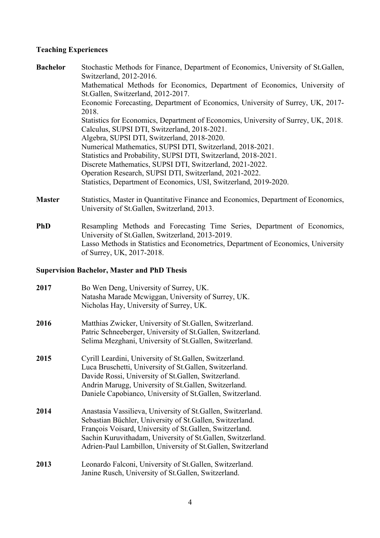# **Teaching Experiences**

| <b>Bachelor</b> | Stochastic Methods for Finance, Department of Economics, University of St. Gallen, |
|-----------------|------------------------------------------------------------------------------------|
|                 | Switzerland, 2012-2016.                                                            |
|                 | Mathematical Methods for Economics, Department of Economics, University of         |
|                 | St.Gallen, Switzerland, 2012-2017.                                                 |
|                 | Economic Forecasting, Department of Economics, University of Surrey, UK, 2017-     |
|                 | 2018.                                                                              |
|                 | Statistics for Economics, Department of Economics, University of Surrey, UK, 2018. |
|                 | Calculus, SUPSI DTI, Switzerland, 2018-2021.                                       |
|                 | Algebra, SUPSI DTI, Switzerland, 2018-2020.                                        |
|                 | Numerical Mathematics, SUPSI DTI, Switzerland, 2018-2021.                          |
|                 | Statistics and Probability, SUPSI DTI, Switzerland, 2018-2021.                     |
|                 | Discrete Mathematics, SUPSI DTI, Switzerland, 2021-2022.                           |
|                 | Operation Research, SUPSI DTI, Switzerland, 2021-2022.                             |
|                 | Statistics, Department of Economics, USI, Switzerland, 2019-2020.                  |
|                 |                                                                                    |

- **Master** Statistics, Master in Quantitative Finance and Economics, Department of Economics, University of St.Gallen, Switzerland, 2013.
- **PhD** Resampling Methods and Forecasting Time Series, Department of Economics, University of St.Gallen, Switzerland, 2013-2019. Lasso Methods in Statistics and Econometrics, Department of Economics, University of Surrey, UK, 2017-2018.

# **Supervision Bachelor, Master and PhD Thesis**

| 2017 | Bo Wen Deng, University of Surrey, UK.<br>Natasha Marade Mcwiggan, University of Surrey, UK.<br>Nicholas Hay, University of Surrey, UK.                                                                                                                                                                              |
|------|----------------------------------------------------------------------------------------------------------------------------------------------------------------------------------------------------------------------------------------------------------------------------------------------------------------------|
| 2016 | Matthias Zwicker, University of St. Gallen, Switzerland.<br>Patric Schneeberger, University of St. Gallen, Switzerland.<br>Selima Mezghani, University of St.Gallen, Switzerland.                                                                                                                                    |
| 2015 | Cyrill Leardini, University of St. Gallen, Switzerland.<br>Luca Bruschetti, University of St. Gallen, Switzerland.<br>Davide Rossi, University of St. Gallen, Switzerland.<br>Andrin Marugg, University of St. Gallen, Switzerland.<br>Daniele Capobianco, University of St. Gallen, Switzerland.                    |
| 2014 | Anastasia Vassilieva, University of St. Gallen, Switzerland.<br>Sebastian Büchler, University of St. Gallen, Switzerland.<br>François Voisard, University of St. Gallen, Switzerland.<br>Sachin Kuruvithadam, University of St. Gallen, Switzerland.<br>Adrien-Paul Lambillon, University of St. Gallen, Switzerland |
| 2013 | Leonardo Falconi, University of St. Gallen, Switzerland.<br>Janine Rusch, University of St.Gallen, Switzerland.                                                                                                                                                                                                      |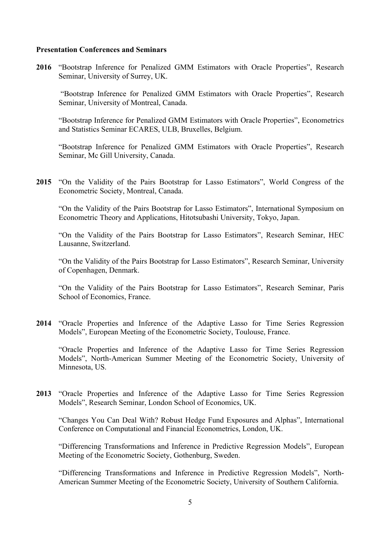### **Presentation Conferences and Seminars**

**2016** "Bootstrap Inference for Penalized GMM Estimators with Oracle Properties", Research Seminar, University of Surrey, UK.

"Bootstrap Inference for Penalized GMM Estimators with Oracle Properties", Research Seminar, University of Montreal, Canada.

"Bootstrap Inference for Penalized GMM Estimators with Oracle Properties", Econometrics and Statistics Seminar ECARES, ULB, Bruxelles, Belgium.

"Bootstrap Inference for Penalized GMM Estimators with Oracle Properties", Research Seminar, Mc Gill University, Canada.

**2015** "On the Validity of the Pairs Bootstrap for Lasso Estimators", World Congress of the Econometric Society, Montreal, Canada.

"On the Validity of the Pairs Bootstrap for Lasso Estimators", International Symposium on Econometric Theory and Applications, Hitotsubashi University, Tokyo, Japan.

"On the Validity of the Pairs Bootstrap for Lasso Estimators", Research Seminar, HEC Lausanne, Switzerland.

"On the Validity of the Pairs Bootstrap for Lasso Estimators", Research Seminar, University of Copenhagen, Denmark.

"On the Validity of the Pairs Bootstrap for Lasso Estimators", Research Seminar, Paris School of Economics, France.

**2014** "Oracle Properties and Inference of the Adaptive Lasso for Time Series Regression Models", European Meeting of the Econometric Society, Toulouse, France.

"Oracle Properties and Inference of the Adaptive Lasso for Time Series Regression Models", North-American Summer Meeting of the Econometric Society, University of Minnesota, US.

**2013** "Oracle Properties and Inference of the Adaptive Lasso for Time Series Regression Models", Research Seminar, London School of Economics, UK.

"Changes You Can Deal With? Robust Hedge Fund Exposures and Alphas", International Conference on Computational and Financial Econometrics, London, UK.

"Differencing Transformations and Inference in Predictive Regression Models", European Meeting of the Econometric Society, Gothenburg, Sweden.

"Differencing Transformations and Inference in Predictive Regression Models", North-American Summer Meeting of the Econometric Society, University of Southern California.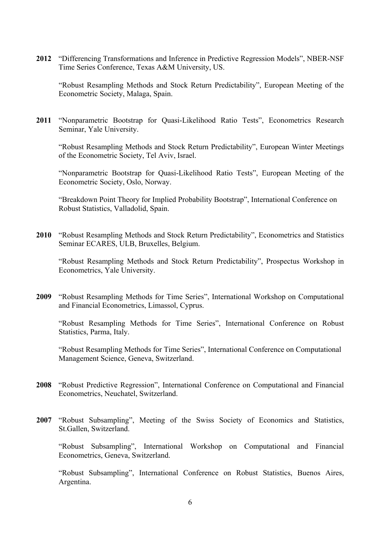**2012** "Differencing Transformations and Inference in Predictive Regression Models", NBER-NSF Time Series Conference, Texas A&M University, US.

"Robust Resampling Methods and Stock Return Predictability", European Meeting of the Econometric Society, Malaga, Spain.

**2011** "Nonparametric Bootstrap for Quasi-Likelihood Ratio Tests", Econometrics Research Seminar, Yale University.

"Robust Resampling Methods and Stock Return Predictability", European Winter Meetings of the Econometric Society, Tel Aviv, Israel.

"Nonparametric Bootstrap for Quasi-Likelihood Ratio Tests", European Meeting of the Econometric Society, Oslo, Norway.

"Breakdown Point Theory for Implied Probability Bootstrap", International Conference on Robust Statistics, Valladolid, Spain.

**2010** "Robust Resampling Methods and Stock Return Predictability", Econometrics and Statistics Seminar ECARES, ULB, Bruxelles, Belgium.

"Robust Resampling Methods and Stock Return Predictability", Prospectus Workshop in Econometrics, Yale University.

**2009** "Robust Resampling Methods for Time Series", International Workshop on Computational and Financial Econometrics, Limassol, Cyprus.

"Robust Resampling Methods for Time Series", International Conference on Robust Statistics, Parma, Italy.

"Robust Resampling Methods for Time Series", International Conference on Computational Management Science, Geneva, Switzerland.

- **2008** "Robust Predictive Regression", International Conference on Computational and Financial Econometrics, Neuchatel, Switzerland.
- **2007** "Robust Subsampling", Meeting of the Swiss Society of Economics and Statistics, St.Gallen, Switzerland.

"Robust Subsampling", International Workshop on Computational and Financial Econometrics, Geneva, Switzerland.

"Robust Subsampling", International Conference on Robust Statistics, Buenos Aires, Argentina.